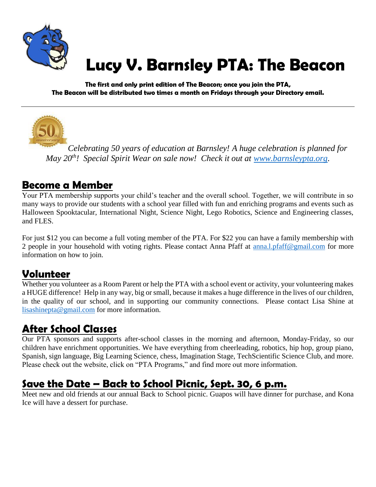

# **Lucy V. Barnsley PTA: The Beacon**

**The first and only print edition of The Beacon; once you join the PTA, The Beacon will be distributed two times a month on Fridays through your Directory email.**



*Celebrating 50 years of education at Barnsley! A huge celebration is planned for May 20th! Special Spirit Wear on sale now! Check it out at [www.barnsleypta.org.](http://www.barnsleypta.org/)*

### **Become a Member**

Your PTA membership supports your child's teacher and the overall school. Together, we will contribute in so many ways to provide our students with a school year filled with fun and enriching programs and events such as Halloween Spooktacular, International Night, Science Night, Lego Robotics, Science and Engineering classes, and FLES.

For just \$12 you can become a full voting member of the PTA. For \$22 you can have a family membership with 2 people in your household with voting rights. Please contact Anna Pfaff at [anna.l.pfaff@gmail.com](mailto:anna.l.pfaff@gmail.com) for more information on how to join.

### **Volunteer**

Whether you volunteer as a Room Parent or help the PTA with a school event or activity, your volunteering makes a HUGE difference! Help in any way, big or small, because it makes a huge difference in the lives of our children, in the quality of our school, and in supporting our community connections. Please contact Lisa Shine at [lisashinepta@gmail.com](mailto:lisashinepta@gmail.com) for more information.

# **After School Classes**

Our PTA sponsors and supports after-school classes in the morning and afternoon, Monday-Friday, so our children have enrichment opportunities. We have everything from cheerleading, robotics, hip hop, group piano, Spanish, sign language, Big Learning Science, chess, Imagination Stage, TechScientific Science Club, and more. Please check out the website, click on "PTA Programs," and find more out more information.

### **Save the Date – Back to School Picnic, Sept. 30, 6 p.m.**

Meet new and old friends at our annual Back to School picnic. Guapos will have dinner for purchase, and Kona Ice will have a dessert for purchase.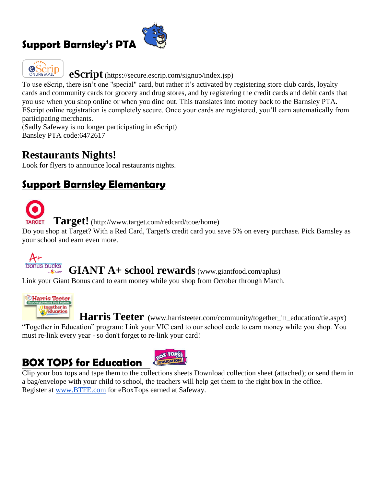### **Support Barnsley's PTA**





**eScript** (https://secure.escrip.com/signup/index.jsp)

To use eScrip, there isn't one "special" card, but rather it's activated by registering store club cards, loyalty cards and community cards for grocery and drug stores, and by registering the credit cards and debit cards that you use when you shop online or when you dine out. This translates into money back to the Barnsley PTA. EScript online registration is completely secure. Once your cards are registered, you'll earn automatically from participating merchants.

(Sadly Safeway is no longer participating in eScript) Bansley PTA code:6472617

### **Restaurants Nights!**

Look for flyers to announce local restaurants nights.

### **Support Barnsley Elementary**



 **Target!** (http://www.target.com/redcard/tcoe/home)

Do you shop at Target? With a Red Card, Target's credit card you save 5% on every purchase. Pick Barnsley as your school and earn even more.



### **GIANT A+ school rewards**(www.giantfood.com/aplus)

Link your Giant Bonus card to earn money while you shop from October through March.





 **Harris Teeter (**www.harristeeter.com/community/together\_in\_education/tie.aspx) "Together in Education" program: Link your VIC card to our school code to earn money while you shop. You must re-link every year - so don't forget to re-link your card!

### **BOX TOPS for Education**

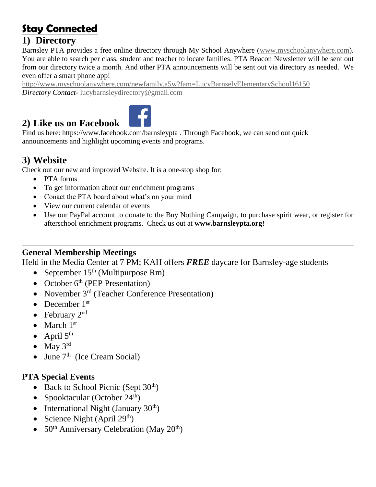# **Stay Connected**

### **1) Directory**

Barnsley PTA provides a free online directory through My School Anywhere [\(www.myschoolanywhere.com\)](http://www.myschoolanywhere.com/). You are able to search per class, student and teacher to locate families. PTA Beacon Newsletter will be sent out from our directory twice a month. And other PTA announcements will be sent out via directory as needed. We even offer a smart phone app!

<http://www.myschoolanywhere.com/newfamily.a5w?fam=LucyBarnselyElementarySchool16150> *Directory Contact*- [lucybarnsleydirectory@gmail.com](mailto:lucybarnsleydirectory@gmail.com)

### **2) Like us on Facebook**



Find us here: https://www.facebook.com/barnsleypta . Through Facebook, we can send out quick announcements and highlight upcoming events and programs.

### **3) Website**

Check out our new and improved Website. It is a one-stop shop for:

- PTA forms
- To get information about our enrichment programs
- Conact the PTA board about what's on your mind
- View our current calendar of events
- Use our PayPal account to donate to the Buy Nothing Campaign, to purchase spirit wear, or register for afterschool enrichment programs. Check us out at **www.barnsleypta.org!**

#### **General Membership Meetings**

Held in the Media Center at 7 PM; KAH offers *FREE* daycare for Barnsley-age students

- September  $15<sup>th</sup>$  (Multipurpose Rm)
- October  $6<sup>th</sup>$  (PEP Presentation)
- November 3<sup>rd</sup> (Teacher Conference Presentation)
- December  $1<sup>st</sup>$
- February  $2<sup>nd</sup>$
- March  $1<sup>st</sup>$
- April  $5<sup>th</sup>$
- $\bullet$  May 3rd
- June  $7<sup>th</sup>$  (Ice Cream Social)

#### **PTA Special Events**

- Back to School Picnic (Sept  $30<sup>th</sup>$ )
- Spooktacular (October  $24^{\text{th}}$ )
- International Night (January  $30<sup>th</sup>$ )
- Science Night (April  $29<sup>th</sup>$ )
- $50<sup>th</sup>$  Anniversary Celebration (May 20<sup>th</sup>)